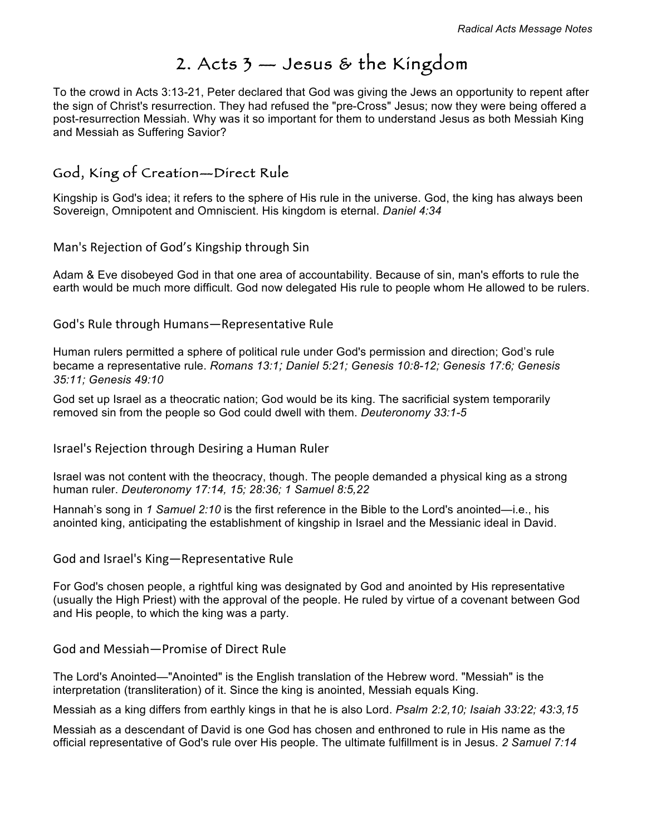# 2. Acts 3 — Jesus & the Kingdom

To the crowd in Acts 3:13-21, Peter declared that God was giving the Jews an opportunity to repent after the sign of Christ's resurrection. They had refused the "pre-Cross" Jesus; now they were being offered a post-resurrection Messiah. Why was it so important for them to understand Jesus as both Messiah King and Messiah as Suffering Savior?

### God, King of Creation—Direct Rule

Kingship is God's idea; it refers to the sphere of His rule in the universe. God, the king has always been Sovereign, Omnipotent and Omniscient. His kingdom is eternal. *Daniel 4:34*

Man's Rejection of God's Kingship through Sin

Adam & Eve disobeyed God in that one area of accountability. Because of sin, man's efforts to rule the earth would be much more difficult. God now delegated His rule to people whom He allowed to be rulers.

God's Rule through Humans—Representative Rule

Human rulers permitted a sphere of political rule under God's permission and direction; God's rule became a representative rule. *Romans 13:1; Daniel 5:21; Genesis 10:8-12; Genesis 17:6; Genesis 35:11; Genesis 49:10*

God set up Israel as a theocratic nation; God would be its king. The sacrificial system temporarily removed sin from the people so God could dwell with them. *Deuteronomy 33:1-5*

Israel's Rejection through Desiring a Human Ruler

Israel was not content with the theocracy, though. The people demanded a physical king as a strong human ruler. *Deuteronomy 17:14, 15; 28:36; 1 Samuel 8:5,22*

Hannah's song in *1 Samuel 2:10* is the first reference in the Bible to the Lord's anointed—i.e., his anointed king, anticipating the establishment of kingship in Israel and the Messianic ideal in David.

#### God and Israel's King-Representative Rule

For God's chosen people, a rightful king was designated by God and anointed by His representative (usually the High Priest) with the approval of the people. He ruled by virtue of a covenant between God and His people, to which the king was a party.

God and Messiah—Promise of Direct Rule

The Lord's Anointed—"Anointed" is the English translation of the Hebrew word. "Messiah" is the interpretation (transliteration) of it. Since the king is anointed, Messiah equals King.

Messiah as a king differs from earthly kings in that he is also Lord. *Psalm 2:2,10; Isaiah 33:22; 43:3,15*

Messiah as a descendant of David is one God has chosen and enthroned to rule in His name as the official representative of God's rule over His people. The ultimate fulfillment is in Jesus. *2 Samuel 7:14*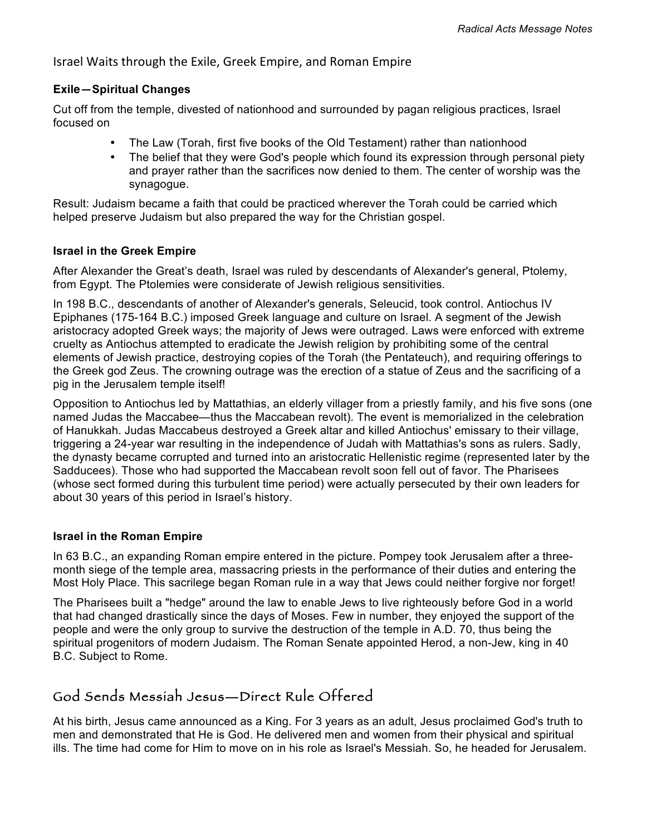Israel Waits through the Exile, Greek Empire, and Roman Empire

#### **Exile—Spiritual Changes**

Cut off from the temple, divested of nationhood and surrounded by pagan religious practices, Israel focused on

- The Law (Torah, first five books of the Old Testament) rather than nationhood
- The belief that they were God's people which found its expression through personal piety and prayer rather than the sacrifices now denied to them. The center of worship was the synagogue.

Result: Judaism became a faith that could be practiced wherever the Torah could be carried which helped preserve Judaism but also prepared the way for the Christian gospel.

#### **Israel in the Greek Empire**

After Alexander the Great's death, Israel was ruled by descendants of Alexander's general, Ptolemy, from Egypt. The Ptolemies were considerate of Jewish religious sensitivities.

In 198 B.C., descendants of another of Alexander's generals, Seleucid, took control. Antiochus IV Epiphanes (175-164 B.C.) imposed Greek language and culture on Israel. A segment of the Jewish aristocracy adopted Greek ways; the majority of Jews were outraged. Laws were enforced with extreme cruelty as Antiochus attempted to eradicate the Jewish religion by prohibiting some of the central elements of Jewish practice, destroying copies of the Torah (the Pentateuch), and requiring offerings to the Greek god Zeus. The crowning outrage was the erection of a statue of Zeus and the sacrificing of a pig in the Jerusalem temple itself!

Opposition to Antiochus led by Mattathias, an elderly villager from a priestly family, and his five sons (one named Judas the Maccabee—thus the Maccabean revolt). The event is memorialized in the celebration of Hanukkah. Judas Maccabeus destroyed a Greek altar and killed Antiochus' emissary to their village, triggering a 24-year war resulting in the independence of Judah with Mattathias's sons as rulers. Sadly, the dynasty became corrupted and turned into an aristocratic Hellenistic regime (represented later by the Sadducees). Those who had supported the Maccabean revolt soon fell out of favor. The Pharisees (whose sect formed during this turbulent time period) were actually persecuted by their own leaders for about 30 years of this period in Israel's history.

#### **Israel in the Roman Empire**

In 63 B.C., an expanding Roman empire entered in the picture. Pompey took Jerusalem after a threemonth siege of the temple area, massacring priests in the performance of their duties and entering the Most Holy Place. This sacrilege began Roman rule in a way that Jews could neither forgive nor forget!

The Pharisees built a "hedge" around the law to enable Jews to live righteously before God in a world that had changed drastically since the days of Moses. Few in number, they enjoyed the support of the people and were the only group to survive the destruction of the temple in A.D. 70, thus being the spiritual progenitors of modern Judaism. The Roman Senate appointed Herod, a non-Jew, king in 40 B.C. Subject to Rome.

# God Sends Messiah Jesus—Direct Rule Offered

At his birth, Jesus came announced as a King. For 3 years as an adult, Jesus proclaimed God's truth to men and demonstrated that He is God. He delivered men and women from their physical and spiritual ills. The time had come for Him to move on in his role as Israel's Messiah. So, he headed for Jerusalem.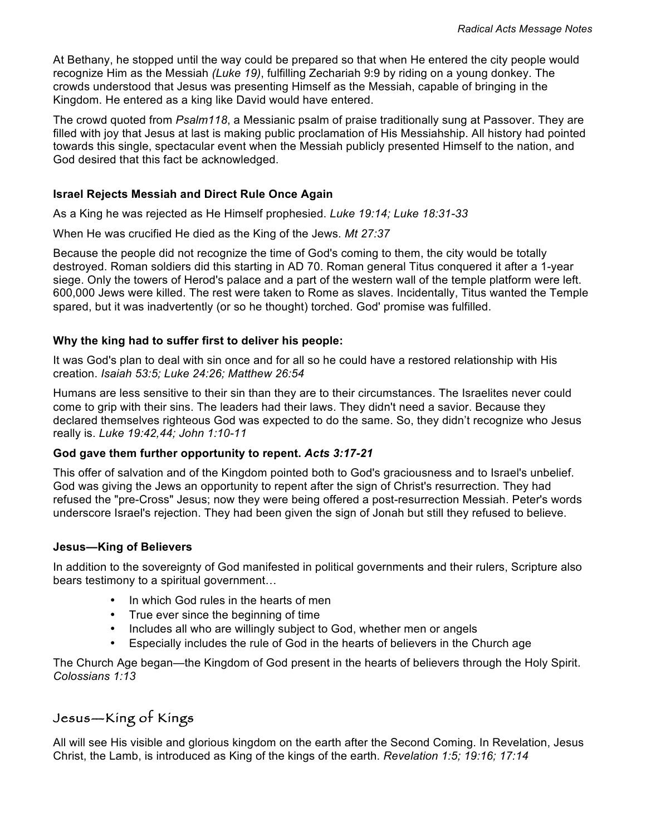At Bethany, he stopped until the way could be prepared so that when He entered the city people would recognize Him as the Messiah *(Luke 19)*, fulfilling Zechariah 9:9 by riding on a young donkey. The crowds understood that Jesus was presenting Himself as the Messiah, capable of bringing in the Kingdom. He entered as a king like David would have entered.

The crowd quoted from *Psalm118*, a Messianic psalm of praise traditionally sung at Passover. They are filled with joy that Jesus at last is making public proclamation of His Messiahship. All history had pointed towards this single, spectacular event when the Messiah publicly presented Himself to the nation, and God desired that this fact be acknowledged.

#### **Israel Rejects Messiah and Direct Rule Once Again**

As a King he was rejected as He Himself prophesied. *Luke 19:14; Luke 18:31-33*

When He was crucified He died as the King of the Jews. *Mt 27:37*

Because the people did not recognize the time of God's coming to them, the city would be totally destroyed. Roman soldiers did this starting in AD 70. Roman general Titus conquered it after a 1-year siege. Only the towers of Herod's palace and a part of the western wall of the temple platform were left. 600,000 Jews were killed. The rest were taken to Rome as slaves. Incidentally, Titus wanted the Temple spared, but it was inadvertently (or so he thought) torched. God' promise was fulfilled.

#### **Why the king had to suffer first to deliver his people:**

It was God's plan to deal with sin once and for all so he could have a restored relationship with His creation. *Isaiah 53:5; Luke 24:26; Matthew 26:54*

Humans are less sensitive to their sin than they are to their circumstances. The Israelites never could come to grip with their sins. The leaders had their laws. They didn't need a savior. Because they declared themselves righteous God was expected to do the same. So, they didn't recognize who Jesus really is. *Luke 19:42,44; John 1:10-11*

#### **God gave them further opportunity to repent.** *Acts 3:17-21*

This offer of salvation and of the Kingdom pointed both to God's graciousness and to Israel's unbelief. God was giving the Jews an opportunity to repent after the sign of Christ's resurrection. They had refused the "pre-Cross" Jesus; now they were being offered a post-resurrection Messiah. Peter's words underscore Israel's rejection. They had been given the sign of Jonah but still they refused to believe.

#### **Jesus—King of Believers**

In addition to the sovereignty of God manifested in political governments and their rulers, Scripture also bears testimony to a spiritual government…

- In which God rules in the hearts of men
- True ever since the beginning of time
- Includes all who are willingly subject to God, whether men or angels
- Especially includes the rule of God in the hearts of believers in the Church age

The Church Age began—the Kingdom of God present in the hearts of believers through the Holy Spirit. *Colossians 1:13*

### Jesus—King of Kings

All will see His visible and glorious kingdom on the earth after the Second Coming. In Revelation, Jesus Christ, the Lamb, is introduced as King of the kings of the earth. *Revelation 1:5; 19:16; 17:14*